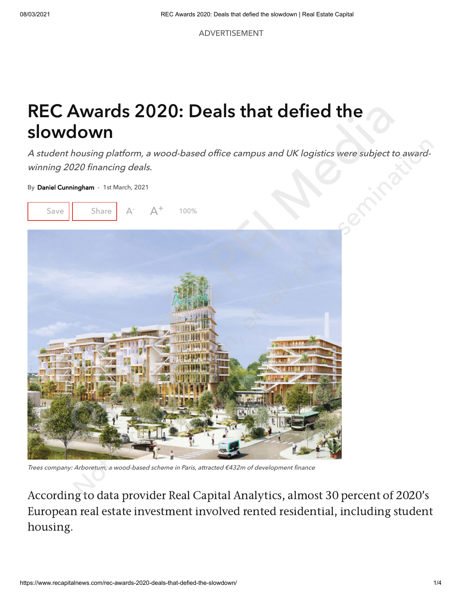ADVERTISEMENT

## REC Awards 2020: Deals that defied the slowdown

A student housing platform, a wood-based office campus and UK logistics were subject to awardwinning 2020 financing deals.

By [Daniel Cunningham](https://www.recapitalnews.com/author/danielcunningham/) - 1st March, 2021



Trees comp any: Arboretum, a wood-based scheme in Paris, attracted €432m of development finance

According to data provider Real Capital Analytics, almost 30 percent of 2020's European real estate investment involved rented residential, including student housing.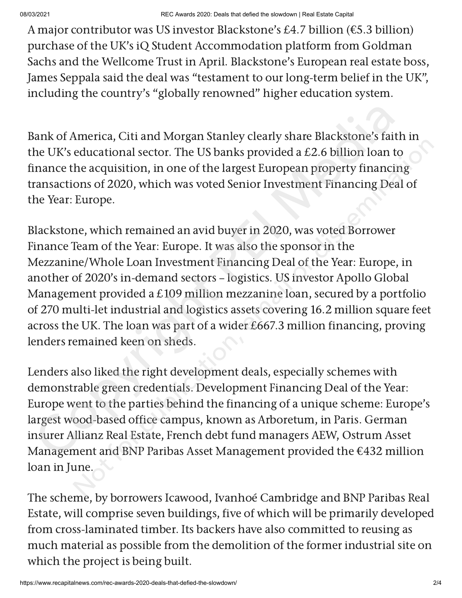A major contributor was US investor Blackstone's £4.7 billion (€5.3 billion) purchase of the UK's iQ Student Accommodation platform from Goldman Sachs and the Wellcome Trust in April. Blackstone's European real estate boss, James Seppala said the deal was "testament to our long-term belief in the UK" , including the country's "globally renowned" higher education system.

Bank of America, Citi and Morgan Stanley clearly share Blackstone's faith in the UK's educational sector. The US banks provided a £2.6 billion loan to finance the acquisition, in one of the largest European property financing transactions of 2020, which was voted Senior Investment Financing Deal of the Year: Europe.

Blackstone, which remained an avid buyer in 2020, was voted Borrower Finance Team of the Year: Europe. It was also the sponsor in the Mezzanine/Whole Loan Investment Financing Deal of the Year: Europe, in another of 2020's in-demand sectors – logistics. US investor Apollo Global Management provided a £109 million mezzanine loan, secured by a portfolio of 270 multi-let industrial and logistics assets covering 16.2 million square feet across the UK. The loan was part of a wider £667.3 million financing, proving lenders remained keen on sheds. Bank of America, Citi and Morgan Stanley clearly share Blackstone's faith in<br>the UK's educational sector. The US banks provided a £2.6 billion loan to<br>inance the acquisition, in one of the largest European property financi metrica, or anna mosgamonatiny etcainy and the material or discussed and detectional sector. The US banks provided a £2.6 billion loan to the acquisition, in one of the largest European property financing ons of 2020, whi

Lenders also liked the right development deals, especially schemes with demonstrable green credentials. Development Financing Deal of the Year: Europe went to the parties behind the financing of a unique scheme: Europe's largest wood-based office campus, known as Arboretum, in Paris. German insurer Allianz Real Estate, French debt fund managers AEW, Ostrum Asset Management and BNP Paribas Asset Management provided the €432 million loan in June.

The scheme, by borrowers Icawood, Ivanhoé Cambridge and BNP Paribas Real Estate, will comprise seven buildings, five of which will be primarily developed from cross-laminated timber. Its backers have also committed to reusing as much material as possible from the demolition of the former industrial site on which the project is being built.